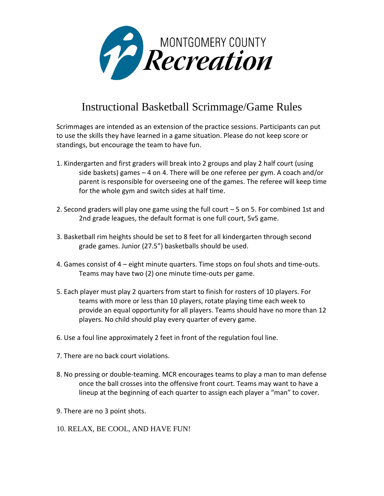

## Instructional Basketball Scrimmage/Game Rules

Scrimmages are intended as an extension of the practice sessions. Participants can put to use the skills they have learned in a game situation. Please do not keep score or standings, but encourage the team to have fun.

- 1. Kindergarten and first graders will break into 2 groups and play 2 half court (using side baskets) games – 4 on 4. There will be one referee per gym. A coach and/or parent is responsible for overseeing one of the games. The referee will keep time for the whole gym and switch sides at half time.
- 2. Second graders will play one game using the full court 5 on 5. For combined 1st and 2nd grade leagues, the default format is one full court, 5v5 game.
- 3. Basketball rim heights should be set to 8 feet for all kindergarten through second grade games. Junior (27.5") basketballs should be used.
- 4. Games consist of 4 eight minute quarters. Time stops on foul shots and time-outs. Teams may have two (2) one minute time-outs per game.
- 5. Each player must play 2 quarters from start to finish for rosters of 10 players. For teams with more or less than 10 players, rotate playing time each week to provide an equal opportunity for all players. Teams should have no more than 12 players. No child should play every quarter of every game.
- 6. Use a foul line approximately 2 feet in front of the regulation foul line.
- 7. There are no back court violations.
- 8. No pressing or double-teaming. MCR encourages teams to play a man to man defense once the ball crosses into the offensive front court. Teams may want to have a lineup at the beginning of each quarter to assign each player a "man" to cover.
- 9. There are no 3 point shots.
- 10. RELAX, BE COOL, AND HAVE FUN!